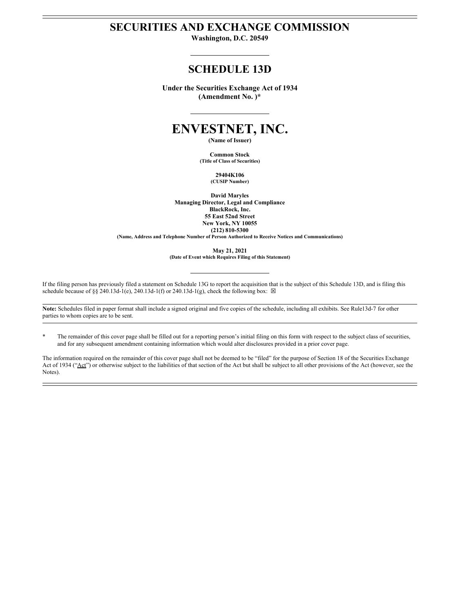## **SECURITIES AND EXCHANGE COMMISSION**

**Washington, D.C. 20549**

# **SCHEDULE 13D**

**Under the Securities Exchange Act of 1934 (Amendment No. )\***

# **ENVESTNET, INC.**

**(Name of Issuer)**

**Common Stock (Title of Class of Securities)**

> **29404K106 (CUSIP Number)**

**David Maryles Managing Director, Legal and Compliance BlackRock, Inc. 55 East 52nd Street New York, NY 10055 (212) 810-5300 (Name, Address and Telephone Number of Person Authorized to Receive Notices and Communications)**

**May 21, 2021 (Date of Event which Requires Filing of this Statement)**

If the filing person has previously filed a statement on Schedule 13G to report the acquisition that is the subject of this Schedule 13D, and is filing this schedule because of §§ 240.13d-1(e), 240.13d-1(f) or 240.13d-1(g), check the following box:  $\boxtimes$ 

**Note:** Schedules filed in paper format shall include a signed original and five copies of the schedule, including all exhibits. See Rule13d-7 for other parties to whom copies are to be sent.

\* The remainder of this cover page shall be filled out for a reporting person's initial filing on this form with respect to the subject class of securities, and for any subsequent amendment containing information which would alter disclosures provided in a prior cover page.

The information required on the remainder of this cover page shall not be deemed to be "filed" for the purpose of Section 18 of the Securities Exchange Act of 1934 ("Act") or otherwise subject to the liabilities of that section of the Act but shall be subject to all other provisions of the Act (however, see the Notes).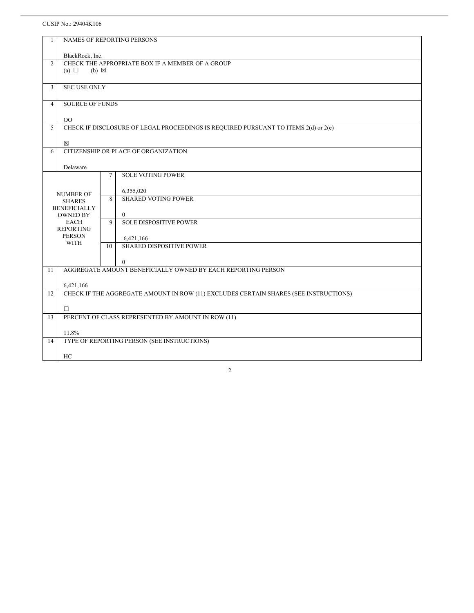## CUSIP No.: 29404K106

| $\mathbf{1}$   |                               |             | <b>NAMES OF REPORTING PERSONS</b>                                                    |
|----------------|-------------------------------|-------------|--------------------------------------------------------------------------------------|
|                |                               |             |                                                                                      |
|                | BlackRock, Inc.               |             |                                                                                      |
| 2              |                               |             | CHECK THE APPROPRIATE BOX IF A MEMBER OF A GROUP                                     |
|                | (a) $\Box$<br>$(b) \boxtimes$ |             |                                                                                      |
|                |                               |             |                                                                                      |
| 3              | <b>SEC USE ONLY</b>           |             |                                                                                      |
|                |                               |             |                                                                                      |
| $\overline{4}$ | <b>SOURCE OF FUNDS</b>        |             |                                                                                      |
|                |                               |             |                                                                                      |
|                | 00                            |             |                                                                                      |
| 5              |                               |             | CHECK IF DISCLOSURE OF LEGAL PROCEEDINGS IS REQUIRED PURSUANT TO ITEMS 2(d) or 2(e)  |
|                |                               |             |                                                                                      |
|                | $\boxtimes$                   |             |                                                                                      |
| 6              |                               |             | CITIZENSHIP OR PLACE OF ORGANIZATION                                                 |
|                |                               |             |                                                                                      |
|                | Delaware                      |             |                                                                                      |
|                |                               | 7           | <b>SOLE VOTING POWER</b>                                                             |
|                |                               |             |                                                                                      |
|                | <b>NUMBER OF</b>              |             | 6,355,020                                                                            |
|                | <b>SHARES</b>                 | 8           | <b>SHARED VOTING POWER</b>                                                           |
|                | <b>BENEFICIALLY</b>           |             |                                                                                      |
|                | <b>OWNED BY</b>               |             | $\mathbf{0}$                                                                         |
|                | <b>EACH</b>                   | $\mathbf Q$ | <b>SOLE DISPOSITIVE POWER</b>                                                        |
|                | <b>REPORTING</b>              |             |                                                                                      |
|                | <b>PERSON</b>                 |             | 6,421,166                                                                            |
|                | <b>WITH</b>                   | 10          | <b>SHARED DISPOSITIVE POWER</b>                                                      |
|                |                               |             |                                                                                      |
|                |                               |             | $\mathbf{0}$                                                                         |
| 11             |                               |             | AGGREGATE AMOUNT BENEFICIALLY OWNED BY EACH REPORTING PERSON                         |
|                |                               |             |                                                                                      |
|                | 6,421,166                     |             |                                                                                      |
| 12             |                               |             | CHECK IF THE AGGREGATE AMOUNT IN ROW (11) EXCLUDES CERTAIN SHARES (SEE INSTRUCTIONS) |
|                |                               |             |                                                                                      |
|                | $\Box$                        |             |                                                                                      |
| 13             |                               |             | PERCENT OF CLASS REPRESENTED BY AMOUNT IN ROW (11)                                   |
|                |                               |             |                                                                                      |
|                | 11.8%                         |             |                                                                                      |
| 14             |                               |             | TYPE OF REPORTING PERSON (SEE INSTRUCTIONS)                                          |
|                |                               |             |                                                                                      |
|                | HC                            |             |                                                                                      |
|                |                               |             |                                                                                      |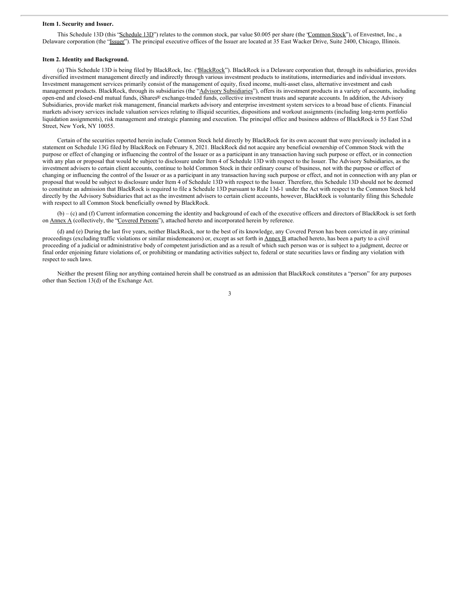#### **Item 1. Security and Issuer.**

This Schedule 13D (this "Schedule 13D") relates to the common stock, par value \$0.005 per share (the 'Common Stock"), of Envestnet, Inc., a Delaware corporation (the "Issuer"). The principal executive offices of the Issuer are located at 35 East Wacker Drive, Suite 2400, Chicago, Illinois.

#### **Item 2. Identity and Background.**

(a) This Schedule 13D is being filed by BlackRock, Inc. ('BlackRock''). BlackRock is a Delaware corporation that, through its subsidiaries, provides diversified investment management directly and indirectly through various investment products to institutions, intermediaries and individual investors. Investment management services primarily consist of the management of equity, fixed income, multi-asset class, alternative investment and cash management products. BlackRock, through its subsidiaries (the "Advisory Subsidiaries"), offers its investment products in a variety of accounts, including open-end and closed-end mutual funds, iShares® exchange-traded funds, collective investment trusts and separate accounts. In addition, the Advisory Subsidiaries, provide market risk management, financial markets advisory and enterprise investment system services to a broad base of clients. Financial markets advisory services include valuation services relating to illiquid securities, dispositions and workout assignments (including long-term portfolio liquidation assignments), risk management and strategic planning and execution. The principal office and business address of BlackRock is 55 East 52nd Street, New York, NY 10055.

Certain of the securities reported herein include Common Stock held directly by BlackRock for its own account that were previously included in a statement on Schedule 13G filed by BlackRock on February 8, 2021. BlackRock did not acquire any beneficial ownership of Common Stock with the purpose or effect of changing or influencing the control of the Issuer or as a participant in any transaction having such purpose or effect, or in connection with any plan or proposal that would be subject to disclosure under Item 4 of Schedule 13D with respect to the Issuer. The Advisory Subsidiaries, as the investment advisers to certain client accounts, continue to hold Common Stock in their ordinary course of business, not with the purpose or effect of changing or influencing the control of the Issuer or as a participant in any transaction having such purpose or effect, and not in connection with any plan or proposal that would be subject to disclosure under Item 4 of Schedule 13D with respect to the Issuer. Therefore, this Schedule 13D should not be deemed to constitute an admission that BlackRock is required to file a Schedule 13D pursuant to Rule 13d-1 under the Act with respect to the Common Stock held directly by the Advisory Subsidiaries that act as the investment advisers to certain client accounts, however, BlackRock is voluntarily filing this Schedule with respect to all Common Stock beneficially owned by BlackRock.

(b) – (c) and (f) Current information concerning the identity and background of each of the executive officers and directors of BlackRock is set forth on Annex A (collectively, the "Covered Persons"), attached hereto and incorporated herein by reference.

(d) and (e) During the last five years, neither BlackRock, nor to the best of its knowledge, any Covered Person has been convicted in any criminal proceedings (excluding traffic violations or similar misdemeanors) or, except as set forth in Annex B attached hereto, has been a party to a civil proceeding of a judicial or administrative body of competent jurisdiction and as a result of which such person was or is subject to a judgment, decree or final order enjoining future violations of, or prohibiting or mandating activities subject to, federal or state securities laws or finding any violation with respect to such laws.

Neither the present filing nor anything contained herein shall be construed as an admission that BlackRock constitutes a "person" for any purposes other than Section 13(d) of the Exchange Act.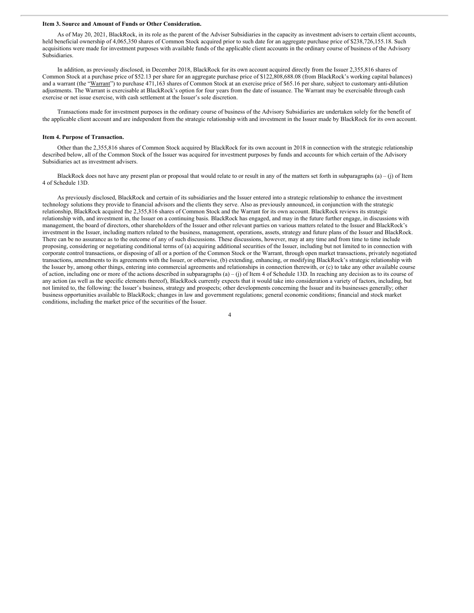#### **Item 3. Source and Amount of Funds or Other Consideration.**

As of May 20, 2021, BlackRock, in its role as the parent of the Adviser Subsidiaries in the capacity as investment advisers to certain client accounts, held beneficial ownership of 4,065,350 shares of Common Stock acquired prior to such date for an aggregate purchase price of \$238,726,155.18. Such acquisitions were made for investment purposes with available funds of the applicable client accounts in the ordinary course of business of the Advisory Subsidiaries.

In addition, as previously disclosed, in December 2018, BlackRock for its own account acquired directly from the Issuer 2,355,816 shares of Common Stock at a purchase price of \$52.13 per share for an aggregate purchase price of \$122,808,688.08 (from BlackRock's working capital balances) and a warrant (the "Warrant") to purchase 471,163 shares of Common Stock at an exercise price of \$65.16 per share, subject to customary anti-dilution adjustments. The Warrant is exercisable at BlackRock's option for four years from the date of issuance. The Warrant may be exercisable through cash exercise or net issue exercise, with cash settlement at the Issuer's sole discretion.

Transactions made for investment purposes in the ordinary course of business of the Advisory Subsidiaries are undertaken solely for the benefit of the applicable client account and are independent from the strategic relationship with and investment in the Issuer made by BlackRock for its own account.

#### **Item 4. Purpose of Transaction.**

Other than the 2,355,816 shares of Common Stock acquired by BlackRock for its own account in 2018 in connection with the strategic relationship described below, all of the Common Stock of the Issuer was acquired for investment purposes by funds and accounts for which certain of the Advisory Subsidiaries act as investment advisers.

BlackRock does not have any present plan or proposal that would relate to or result in any of the matters set forth in subparagraphs (a) – (j) of Item 4 of Schedule 13D.

As previously disclosed, BlackRock and certain of its subsidiaries and the Issuer entered into a strategic relationship to enhance the investment technology solutions they provide to financial advisors and the clients they serve. Also as previously announced, in conjunction with the strategic relationship, BlackRock acquired the 2,355,816 shares of Common Stock and the Warrant for its own account. BlackRock reviews its strategic relationship with, and investment in, the Issuer on a continuing basis. BlackRock has engaged, and may in the future further engage, in discussions with management, the board of directors, other shareholders of the Issuer and other relevant parties on various matters related to the Issuer and BlackRock's investment in the Issuer, including matters related to the business, management, operations, assets, strategy and future plans of the Issuer and BlackRock. There can be no assurance as to the outcome of any of such discussions. These discussions, however, may at any time and from time to time include proposing, considering or negotiating conditional terms of (a) acquiring additional securities of the Issuer, including but not limited to in connection with corporate control transactions, or disposing of all or a portion of the Common Stock or the Warrant, through open market transactions, privately negotiated transactions, amendments to its agreements with the Issuer, or otherwise, (b) extending, enhancing, or modifying BlackRock's strategic relationship with the Issuer by, among other things, entering into commercial agreements and relationships in connection therewith, or (c) to take any other available course of action, including one or more of the actions described in subparagraphs  $(a) - (j)$  of Item 4 of Schedule 13D. In reaching any decision as to its course of any action (as well as the specific elements thereof), BlackRock currently expects that it would take into consideration a variety of factors, including, but not limited to, the following: the Issuer's business, strategy and prospects; other developments concerning the Issuer and its businesses generally; other business opportunities available to BlackRock; changes in law and government regulations; general economic conditions; financial and stock market conditions, including the market price of the securities of the Issuer.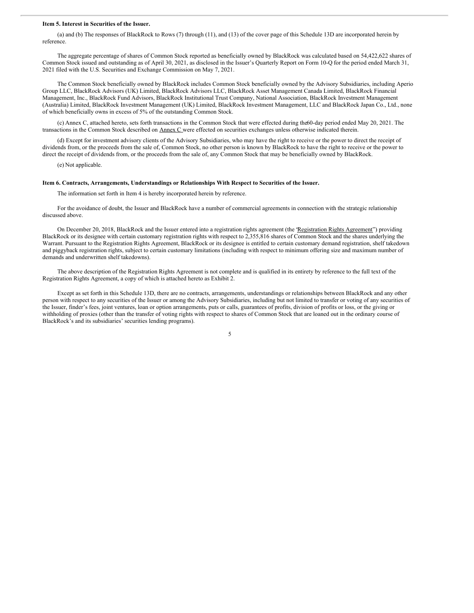#### **Item 5. Interest in Securities of the Issuer.**

(a) and (b) The responses of BlackRock to Rows (7) through (11), and (13) of the cover page of this Schedule 13D are incorporated herein by reference.

The aggregate percentage of shares of Common Stock reported as beneficially owned by BlackRock was calculated based on 54,422,622 shares of Common Stock issued and outstanding as of April 30, 2021, as disclosed in the Issuer's Quarterly Report on Form 10-Q for the period ended March 31, 2021 filed with the U.S. Securities and Exchange Commission on May 7, 2021.

The Common Stock beneficially owned by BlackRock includes Common Stock beneficially owned by the Advisory Subsidiaries, including Aperio Group LLC, BlackRock Advisors (UK) Limited, BlackRock Advisors LLC, BlackRock Asset Management Canada Limited, BlackRock Financial Management, Inc., BlackRock Fund Advisors, BlackRock Institutional Trust Company, National Association, BlackRock Investment Management (Australia) Limited, BlackRock Investment Management (UK) Limited, BlackRock Investment Management, LLC and BlackRock Japan Co., Ltd., none of which beneficially owns in excess of 5% of the outstanding Common Stock.

(c) Annex C, attached hereto, sets forth transactions in the Common Stock that were effected during the60-day period ended May 20, 2021. The transactions in the Common Stock described on Annex C were effected on securities exchanges unless otherwise indicated therein.

(d) Except for investment advisory clients of the Advisory Subsidiaries, who may have the right to receive or the power to direct the receipt of dividends from, or the proceeds from the sale of, Common Stock, no other person is known by BlackRock to have the right to receive or the power to direct the receipt of dividends from, or the proceeds from the sale of, any Common Stock that may be beneficially owned by BlackRock.

(e) Not applicable.

#### **Item 6. Contracts, Arrangements, Understandings or Relationships With Respect to Securities of the Issuer.**

The information set forth in Item 4 is hereby incorporated herein by reference.

For the avoidance of doubt, the Issuer and BlackRock have a number of commercial agreements in connection with the strategic relationship discussed above.

On December 20, 2018, BlackRock and the Issuer entered into a registration rights agreement (the 'Registration Rights Agreement'') providing BlackRock or its designee with certain customary registration rights with respect to 2,355,816 shares of Common Stock and the shares underlying the Warrant. Pursuant to the Registration Rights Agreement, BlackRock or its designee is entitled to certain customary demand registration, shelf takedown and piggyback registration rights, subject to certain customary limitations (including with respect to minimum offering size and maximum number of demands and underwritten shelf takedowns).

The above description of the Registration Rights Agreement is not complete and is qualified in its entirety by reference to the full text of the Registration Rights Agreement, a copy of which is attached hereto as Exhibit 2.

Except as set forth in this Schedule 13D, there are no contracts, arrangements, understandings or relationships between BlackRock and any other person with respect to any securities of the Issuer or among the Advisory Subsidiaries, including but not limited to transfer or voting of any securities of the Issuer, finder's fees, joint ventures, loan or option arrangements, puts or calls, guarantees of profits, division of profits or loss, or the giving or withholding of proxies (other than the transfer of voting rights with respect to shares of Common Stock that are loaned out in the ordinary course of BlackRock's and its subsidiaries' securities lending programs).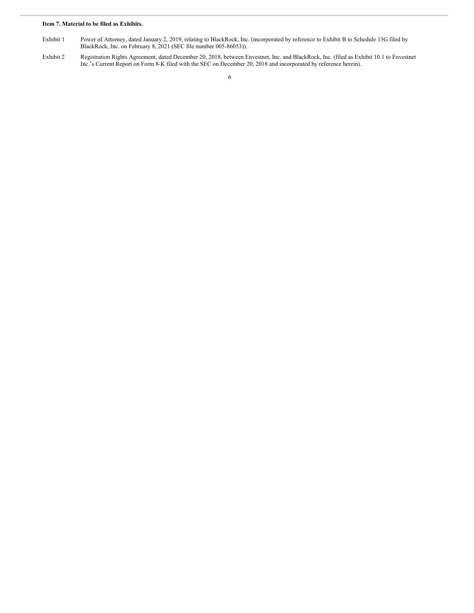## **Item 7. Material to be filed as Exhibits.**

- Exhibit 1 Power of Attorney, dated January 2, 2019, relating to BlackRock, Inc. (incorporated by reference to Exhibit B to Schedule 13G filed by BlackRock, Inc. on February 8, 2021 (SEC file number 005-86053)).
- Exhibit 2 Registration Rights Agreement, dated December 20, 2018, between Envestnet, Inc. and BlackRock, Inc. (filed as Exhibit 10.1 to Envestnet Inc.'s Current Report on Form 8-K filed with the SEC on December 20, 2018 and incorporated by reference herein).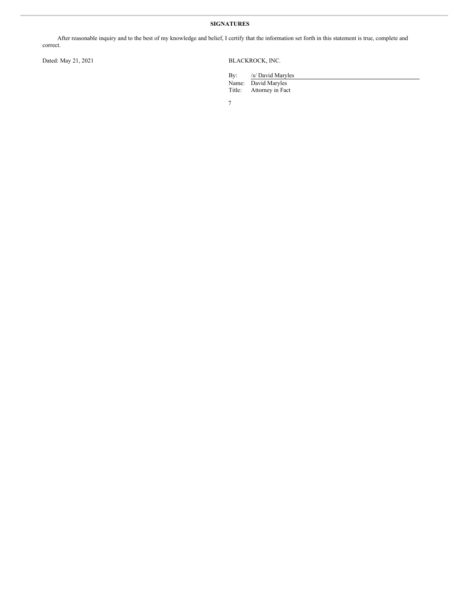## **SIGNATURES**

After reasonable inquiry and to the best of my knowledge and belief, I certify that the information set forth in this statement is true, complete and correct.

Dated: May 21, 2021 BLACKROCK, INC.

By: /s/ David Maryles Name: David Maryles<br>Title: Attorney in Fac Attorney in Fact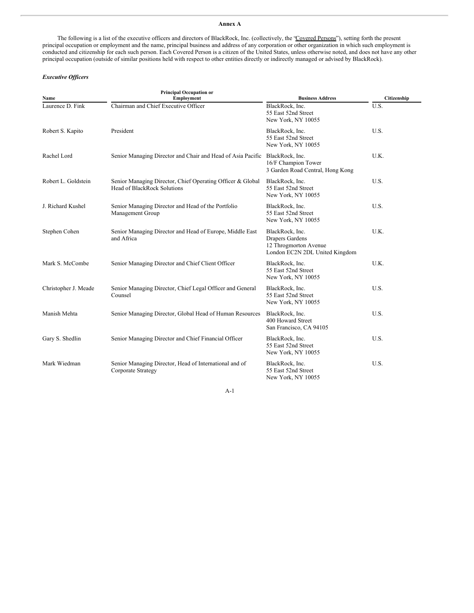#### **Annex A**

The following is a list of the executive officers and directors of BlackRock, Inc. (collectively, the "Covered Persons"), setting forth the present principal occupation or employment and the name, principal business and address of any corporation or other organization in which such employment is conducted and citizenship for each such person. Each Covered Person is a citizen of the United States, unless otherwise noted, and does not have any other principal occupation (outside of similar positions held with respect to other entities directly or indirectly managed or advised by BlackRock).

## *Executive Of icers*

| Name                 | <b>Principal Occupation or</b><br><b>Employment</b>                                              | <b>Business Address</b>                                                                              | Citizenship |
|----------------------|--------------------------------------------------------------------------------------------------|------------------------------------------------------------------------------------------------------|-------------|
| Laurence D. Fink     | Chairman and Chief Executive Officer                                                             | BlackRock, Inc.<br>55 East 52nd Street<br>New York, NY 10055                                         | U.S.        |
| Robert S. Kapito     | President                                                                                        | BlackRock, Inc.<br>55 East 52nd Street<br>New York, NY 10055                                         | U.S.        |
| Rachel Lord          | Senior Managing Director and Chair and Head of Asia Pacific                                      | BlackRock, Inc.<br>16/F Champion Tower<br>3 Garden Road Central, Hong Kong                           | U.K.        |
| Robert L. Goldstein  | Senior Managing Director, Chief Operating Officer & Global<br><b>Head of BlackRock Solutions</b> | BlackRock, Inc.<br>55 East 52nd Street<br>New York, NY 10055                                         | U.S.        |
| J. Richard Kushel    | Senior Managing Director and Head of the Portfolio<br>Management Group                           | BlackRock, Inc.<br>55 East 52nd Street<br>New York, NY 10055                                         | U.S.        |
| Stephen Cohen        | Senior Managing Director and Head of Europe, Middle East<br>and Africa                           | BlackRock, Inc.<br><b>Drapers Gardens</b><br>12 Throgmorton Avenue<br>London EC2N 2DL United Kingdom | U.K.        |
| Mark S. McCombe      | Senior Managing Director and Chief Client Officer                                                | BlackRock, Inc.<br>55 East 52nd Street<br>New York, NY 10055                                         | U.K.        |
| Christopher J. Meade | Senior Managing Director, Chief Legal Officer and General<br>Counsel                             | BlackRock, Inc.<br>55 East 52nd Street<br>New York, NY 10055                                         | U.S.        |
| Manish Mehta         | Senior Managing Director, Global Head of Human Resources                                         | BlackRock, Inc.<br>400 Howard Street<br>San Francisco, CA 94105                                      | U.S.        |
| Gary S. Shedlin      | Senior Managing Director and Chief Financial Officer                                             | BlackRock, Inc.<br>55 East 52nd Street<br>New York, NY 10055                                         | U.S.        |
| Mark Wiedman         | Senior Managing Director, Head of International and of<br>Corporate Strategy                     | BlackRock, Inc.<br>55 East 52nd Street<br>New York, NY 10055                                         | U.S.        |

A-1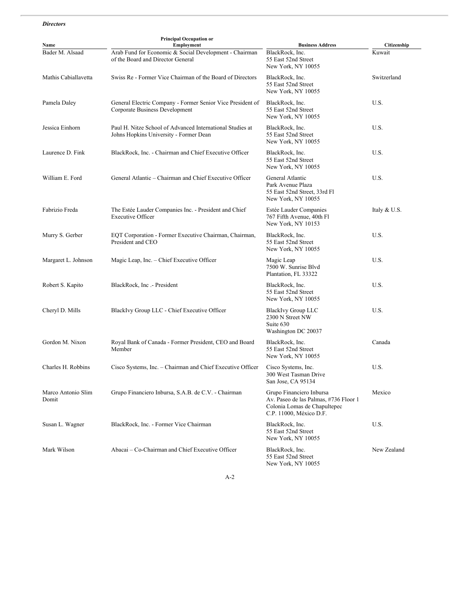## *Directors*

| Name                        | <b>Principal Occupation or</b><br>Employment                                                        | <b>Business Address</b>                                                                                                      | Citizenship  |
|-----------------------------|-----------------------------------------------------------------------------------------------------|------------------------------------------------------------------------------------------------------------------------------|--------------|
| Bader M. Alsaad             | Arab Fund for Economic & Social Development - Chairman<br>of the Board and Director General         | BlackRock, Inc.<br>55 East 52nd Street<br>New York, NY 10055                                                                 | Kuwait       |
| Mathis Cabiallavetta        | Swiss Re - Former Vice Chairman of the Board of Directors                                           | BlackRock, Inc.<br>55 East 52nd Street<br>New York, NY 10055                                                                 | Switzerland  |
| Pamela Daley                | General Electric Company - Former Senior Vice President of<br>Corporate Business Development        | BlackRock, Inc.<br>55 East 52nd Street<br>New York, NY 10055                                                                 | U.S.         |
| Jessica Einhorn             | Paul H. Nitze School of Advanced International Studies at<br>Johns Hopkins University - Former Dean | BlackRock, Inc.<br>55 East 52nd Street<br>New York, NY 10055                                                                 | U.S.         |
| Laurence D. Fink            | BlackRock, Inc. - Chairman and Chief Executive Officer                                              | BlackRock, Inc.<br>55 East 52nd Street<br>New York, NY 10055                                                                 | U.S.         |
| William E. Ford             | General Atlantic – Chairman and Chief Executive Officer                                             | General Atlantic<br>Park Avenue Plaza<br>55 East 52nd Street, 33rd Fl<br>New York, NY 10055                                  | U.S.         |
| Fabrizio Freda              | The Estée Lauder Companies Inc. - President and Chief<br><b>Executive Officer</b>                   | Estée Lauder Companies<br>767 Fifth Avenue, 40th Fl<br>New York, NY 10153                                                    | Italy & U.S. |
| Murry S. Gerber             | EQT Corporation - Former Executive Chairman, Chairman,<br>President and CEO                         | BlackRock, Inc.<br>55 East 52nd Street<br>New York, NY 10055                                                                 | U.S.         |
| Margaret L. Johnson         | Magic Leap, Inc. - Chief Executive Officer                                                          | Magic Leap<br>7500 W. Sunrise Blvd<br>Plantation, FL 33322                                                                   | U.S.         |
| Robert S. Kapito            | BlackRock, Inc. - President                                                                         | BlackRock, Inc.<br>55 East 52nd Street<br>New York, NY 10055                                                                 | U.S.         |
| Cheryl D. Mills             | BlackIvy Group LLC - Chief Executive Officer                                                        | <b>BlackIvy Group LLC</b><br>2300 N Street NW<br>Suite 630<br>Washington DC 20037                                            | U.S.         |
| Gordon M. Nixon             | Royal Bank of Canada - Former President, CEO and Board<br>Member                                    | BlackRock, Inc.<br>55 East 52nd Street<br>New York, NY 10055                                                                 | Canada       |
| Charles H. Robbins          | Cisco Systems, Inc. – Chairman and Chief Executive Officer                                          | Cisco Systems, Inc.<br>300 West Tasman Drive<br>San Jose, CA 95134                                                           | U.S.         |
| Marco Antonio Slim<br>Domit | Grupo Financiero Inbursa, S.A.B. de C.V. - Chairman                                                 | Grupo Financiero Inbursa<br>Av. Paseo de las Palmas, #736 Floor 1<br>Colonia Lomas de Chapultepec<br>C.P. 11000, México D.F. | Mexico       |
| Susan L. Wagner             | BlackRock, Inc. - Former Vice Chairman                                                              | BlackRock, Inc.<br>55 East 52nd Street<br>New York, NY 10055                                                                 | U.S.         |
| Mark Wilson                 | Abacai – Co-Chairman and Chief Executive Officer                                                    | BlackRock, Inc.<br>55 East 52nd Street<br>New York, NY 10055                                                                 | New Zealand  |

A-2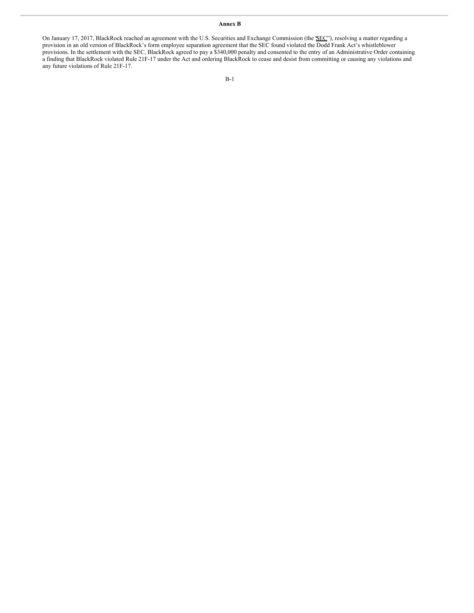## **Annex B**

On January 17, 2017, BlackRock reached an agreement with the U.S. Securities and Exchange Commission (the SEC"), resolving a matter regarding a provision in an old version of BlackRock's form employee separation agreement that the SEC found violated the Dodd Frank Act's whistleblower provisions. In the settlement with the SEC, BlackRock agreed to pay a \$340,000 penalty and consented to the entry of an Administrative Order containing a finding that BlackRock violated Rule 21F-17 under the Act and ordering BlackRock to cease and desist from committing or causing any violations and any future violations of Rule 21F-17.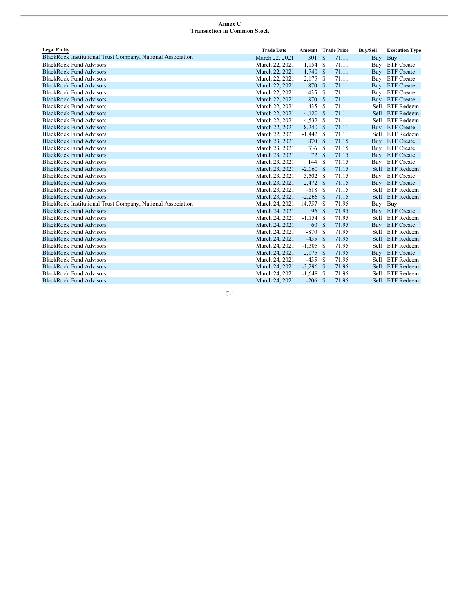## **Annex C Transaction in Common Stock**

| <b>Legal Entity</b>                                         | <b>Trade Date</b> | <b>Amount</b> Trade Price |              |       | <b>Buy/Sell</b> | <b>Execution Type</b> |
|-------------------------------------------------------------|-------------------|---------------------------|--------------|-------|-----------------|-----------------------|
| BlackRock Institutional Trust Company, National Association | March 22, 2021    | 301                       | $\mathbb{S}$ | 71.11 | Buy             | Buy                   |
| <b>BlackRock Fund Advisors</b>                              | March 22, 2021    | $1,154$ \$                |              | 71.11 |                 | Buy ETF Create        |
| <b>BlackRock Fund Advisors</b>                              | March 22, 2021    | 1,740                     | - \$         | 71.11 | Buy             | <b>ETF</b> Create     |
| <b>BlackRock Fund Advisors</b>                              | March 22, 2021    | 2,175                     | -S           | 71.11 |                 | Buy ETF Create        |
| <b>BlackRock Fund Advisors</b>                              | March 22, 2021    | 870 \$                    |              | 71.11 |                 | Buy ETF Create        |
| <b>BlackRock Fund Advisors</b>                              | March 22, 2021    | 435                       | -S           | 71.11 |                 | Buy ETF Create        |
| <b>BlackRock Fund Advisors</b>                              | March 22, 2021    | 870                       | - \$         | 71.11 |                 | Buy ETF Create        |
| <b>BlackRock Fund Advisors</b>                              | March 22, 2021    | $-435$                    | - S          | 71.11 |                 | Sell ETF Redeem       |
| <b>BlackRock Fund Advisors</b>                              | March 22, 2021    | $-4,120$ \$               |              | 71.11 |                 | Sell ETF Redeem       |
| <b>BlackRock Fund Advisors</b>                              | March 22, 2021    | $-4,532$                  | - \$         | 71.11 |                 | Sell ETF Redeem       |
| <b>BlackRock Fund Advisors</b>                              | March 22, 2021    | 8,240                     | - \$         | 71.11 |                 | Buy ETF Create        |
| <b>BlackRock Fund Advisors</b>                              | March 22, 2021    | $-1,442$                  | - \$         | 71.11 |                 | Sell ETF Redeem       |
| <b>BlackRock Fund Advisors</b>                              | March 23, 2021    | 870                       | S            | 71.15 |                 | Buy ETF Create        |
| <b>BlackRock Fund Advisors</b>                              | March 23, 2021    | 336                       | -S           | 71.15 |                 | Buy ETF Create        |
| <b>BlackRock Fund Advisors</b>                              | March 23, 2021    | 72 \$                     |              | 71.15 |                 | Buy ETF Create        |
| <b>BlackRock Fund Advisors</b>                              | March 23, 2021    | 144                       | -S           | 71.15 |                 | Buy ETF Create        |
| <b>BlackRock Fund Advisors</b>                              | March 23, 2021    | $-2,060$ \$               |              | 71.15 |                 | Sell ETF Redeem       |
| <b>BlackRock Fund Advisors</b>                              | March 23, 2021    | $3,502$ \$                |              | 71.15 |                 | Buy ETF Create        |
| <b>BlackRock Fund Advisors</b>                              | March 23, 2021    | 2,472 \$                  |              | 71.15 |                 | Buy ETF Create        |
| <b>BlackRock Fund Advisors</b>                              | March 23, 2021    | $-618S$                   |              | 71.15 |                 | Sell ETF Redeem       |
| <b>BlackRock Fund Advisors</b>                              | March 23, 2021    | $-2,266$ \$               |              | 71.15 |                 | Sell ETF Redeem       |
| BlackRock Institutional Trust Company, National Association | March 24, 2021    | 14,757                    | -S           | 71.95 |                 | Buy Buy               |
| <b>BlackRock Fund Advisors</b>                              | March 24, 2021    | 96                        | -S           | 71.95 |                 | Buy ETF Create        |
| <b>BlackRock Fund Advisors</b>                              | March 24, 2021    | $-1,154$                  | - S          | 71.95 |                 | Sell ETF Redeem       |
| <b>BlackRock Fund Advisors</b>                              | March 24, 2021    | 60                        | - S          | 71.95 | Buy             | <b>ETF</b> Create     |
| <b>BlackRock Fund Advisors</b>                              | March 24, 2021    | $-870$                    | -S           | 71.95 |                 | Sell ETF Redeem       |
| <b>BlackRock Fund Advisors</b>                              | March 24, 2021    | $-435S$                   |              | 71.95 |                 | Sell ETF Redeem       |
| <b>BlackRock Fund Advisors</b>                              | March 24, 2021    | $-1,305$ \$               |              | 71.95 |                 | Sell ETF Redeem       |
| <b>BlackRock Fund Advisors</b>                              | March 24, 2021    | $2,175$ \$                |              | 71.95 |                 | Buy ETF Create        |
| <b>BlackRock Fund Advisors</b>                              | March 24, 2021    | $-435S$                   |              | 71.95 |                 | Sell ETF Redeem       |
| <b>BlackRock Fund Advisors</b>                              | March 24, 2021    | $-3,296$ \$               |              | 71.95 |                 | Sell ETF Redeem       |
| <b>BlackRock Fund Advisors</b>                              | March 24, 2021    | $-1,648$ \$               |              | 71.95 |                 | Sell ETF Redeem       |
| <b>BlackRock Fund Advisors</b>                              | March 24, 2021    | $-206S$                   |              | 71.95 |                 | Sell ETF Redeem       |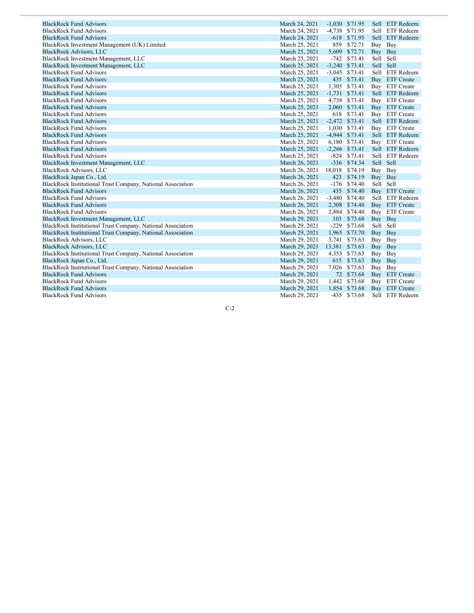| <b>BlackRock Fund Advisors</b>                              | March 24, 2021 |          | $-1,030$ \$71.95 |           | Sell ETF Redeem   |
|-------------------------------------------------------------|----------------|----------|------------------|-----------|-------------------|
| <b>BlackRock Fund Advisors</b>                              | March 24, 2021 |          | -4,738 \$71.95   |           | Sell ETF Redeem   |
| <b>BlackRock Fund Advisors</b>                              | March 24, 2021 | $-618$   | \$71.95          |           | Sell ETF Redeem   |
| BlackRock Investment Management (UK) Limited                | March 25, 2021 | 859      | \$72.71          | Buy       | Buy               |
| <b>BlackRock Advisors, LLC</b>                              | March 25, 2021 | 5,609    | \$72.71          | Buy Buy   |                   |
| BlackRock Investment Management, LLC                        | March 25, 2021 | $-742$   | \$73.41          | Sell Sell |                   |
| BlackRock Investment Management, LLC                        | March 25, 2021 |          | $-3,240$ \$73.41 | Sell Sell |                   |
| <b>BlackRock Fund Advisors</b>                              | March 25, 2021 |          | $-3,045$ \$73.41 |           | Sell ETF Redeem   |
| <b>BlackRock Fund Advisors</b>                              | March 25, 2021 | 435      | \$73.41          | Buy       | <b>ETF</b> Create |
| <b>BlackRock Fund Advisors</b>                              | March 25, 2021 |          | 1,305 \$73.41    |           | Buy ETF Create    |
| <b>BlackRock Fund Advisors</b>                              | March 25, 2021 |          | $-1,731$ \$73.41 |           | Sell ETF Redeem   |
| <b>BlackRock Fund Advisors</b>                              | March 25, 2021 |          | 4,738 \$73.41    |           | Buy ETF Create    |
| <b>BlackRock Fund Advisors</b>                              | March 25, 2021 | 2,060    | \$73.41          |           | Buy ETF Create    |
| <b>BlackRock Fund Advisors</b>                              | March 25, 2021 | 618      | \$73.41          |           | Buy ETF Create    |
| <b>BlackRock Fund Advisors</b>                              | March 25, 2021 |          | $-2,472$ \$73.41 |           | Sell ETF Redeem   |
| <b>BlackRock Fund Advisors</b>                              | March 25, 2021 |          | 1,030 \$73.41    |           | Buy ETF Create    |
| <b>BlackRock Fund Advisors</b>                              | March 25, 2021 |          | $-4,944$ \$73.41 |           | Sell ETF Redeem   |
| <b>BlackRock Fund Advisors</b>                              | March 25, 2021 |          | 6,180 \$73.41    |           | Buy ETF Create    |
| <b>BlackRock Fund Advisors</b>                              | March 25, 2021 |          | $-2,266$ \$73.41 |           | Sell ETF Redeem   |
| <b>BlackRock Fund Advisors</b>                              | March 25, 2021 |          | $-824$ \$73.41   |           | Sell ETF Redeem   |
| BlackRock Investment Management, LLC                        | March 26, 2021 |          | $-336$ \$74.34   | Sell Sell |                   |
| <b>BlackRock Advisors, LLC</b>                              | March 26, 2021 | 18,018   | \$74.19          | Buy       | Buy               |
| BlackRock Japan Co., Ltd.                                   | March 26, 2021 | 423      | \$74.19          | Buy       | <b>Buy</b>        |
| BlackRock Institutional Trust Company, National Association | March 26, 2021 | $-176$   | \$74.40          | Sell Sell |                   |
| <b>BlackRock Fund Advisors</b>                              | March 26, 2021 |          | 435 \$74.40      |           | Buy ETF Create    |
| <b>BlackRock Fund Advisors</b>                              | March 26, 2021 | $-3,480$ | \$74.40          |           | Sell ETF Redeem   |
| <b>BlackRock Fund Advisors</b>                              | March 26, 2021 | 2,308    | \$74.40          |           | Buy ETF Create    |
| <b>BlackRock Fund Advisors</b>                              | March 26, 2021 |          | 2,884 \$74.40    |           | Buy ETF Create    |
| BlackRock Investment Management, LLC                        | March 29, 2021 | 103      | \$73.68          | Buy       | Buy               |
| BlackRock Institutional Trust Company, National Association | March 29, 2021 | $-229$   | \$73.68          | Sell      | Sell              |
| BlackRock Institutional Trust Company, National Association | March 29, 2021 |          | 1,965 \$73.70    | Buy Buy   |                   |
| <b>BlackRock Advisors, LLC</b>                              | March 29, 2021 | 3,741    | \$73.63          | Buy Buy   |                   |
| <b>BlackRock Advisors, LLC</b>                              | March 29, 2021 | 13,381   | \$73.63          | Buy Buy   |                   |
| BlackRock Institutional Trust Company, National Association | March 29, 2021 | 4,353    | \$73.63          | Buy       | Buy               |
| BlackRock Japan Co., Ltd.                                   | March 29, 2021 |          | 615 \$73.63      | Buy       | Buy               |
| BlackRock Institutional Trust Company, National Association | March 29, 2021 |          | 7,026 \$73.63    | Buy Buy   |                   |
| <b>BlackRock Fund Advisors</b>                              | March 29, 2021 |          | 72 \$73.68       | Buy       | <b>ETF</b> Create |
| <b>BlackRock Fund Advisors</b>                              | March 29, 2021 |          | 1,442 \$73.68    |           | Buy ETF Create    |
| <b>BlackRock Fund Advisors</b>                              | March 29, 2021 | 1,854    | \$73.68          |           | Buy ETF Create    |
| <b>BlackRock Fund Advisors</b>                              | March 29, 2021 |          | -435 \$73.68     |           | Sell ETF Redeem   |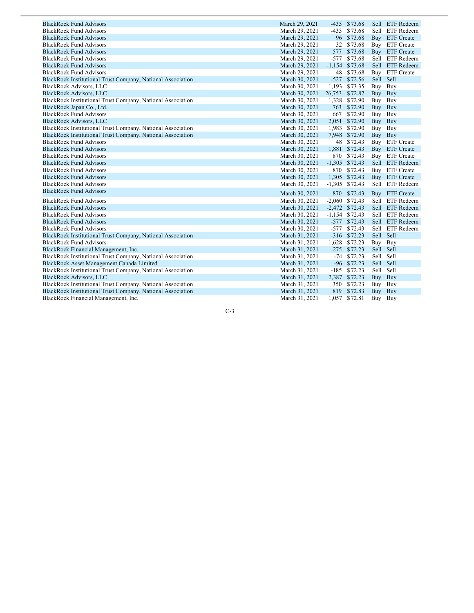| <b>BlackRock Fund Advisors</b>                              | March 29, 2021 |        | -435 \$73.68     |           | Sell ETF Redeem |
|-------------------------------------------------------------|----------------|--------|------------------|-----------|-----------------|
| <b>BlackRock Fund Advisors</b>                              | March 29, 2021 | $-435$ | \$73.68          |           | Sell ETF Redeem |
| <b>BlackRock Fund Advisors</b>                              | March 29, 2021 | 96     | \$73.68          |           | Buy ETF Create  |
| <b>BlackRock Fund Advisors</b>                              | March 29, 2021 | 32     | \$73.68          |           | Buy ETF Create  |
| <b>BlackRock Fund Advisors</b>                              | March 29, 2021 | 577    | \$73.68          |           | Buy ETF Create  |
| <b>BlackRock Fund Advisors</b>                              | March 29, 2021 | -577   | \$73.68          |           | Sell ETF Redeem |
| <b>BlackRock Fund Advisors</b>                              | March 29, 2021 |        | $-1,154$ \$73.68 |           | Sell ETF Redeem |
| <b>BlackRock Fund Advisors</b>                              | March 29, 2021 | 48     | \$73.68          |           | Buy ETF Create  |
| BlackRock Institutional Trust Company, National Association | March 30, 2021 | $-527$ | \$72.56          | Sell Sell |                 |
| <b>BlackRock Advisors, LLC</b>                              | March 30, 2021 | 1,193  | \$73.35          | Buy Buy   |                 |
| <b>BlackRock Advisors, LLC</b>                              | March 30, 2021 | 26,753 | \$72.87          | Buy Buy   |                 |
| BlackRock Institutional Trust Company, National Association | March 30, 2021 |        | 1,328 \$72.90    | Buy Buy   |                 |
| BlackRock Japan Co., Ltd.                                   | March 30, 2021 |        | 763 \$72.90      | Buy Buy   |                 |
| <b>BlackRock Fund Advisors</b>                              | March 30, 2021 | 667    | \$72.90          | Buy Buy   |                 |
| <b>BlackRock Advisors, LLC</b>                              | March 30, 2021 |        | 2,051 \$72.90    | Buy Buy   |                 |
| BlackRock Institutional Trust Company, National Association | March 30, 2021 | 1,983  | \$72.90          | Buy Buy   |                 |
| BlackRock Institutional Trust Company, National Association | March 30, 2021 |        | 7,948 \$72.90    | Buy Buy   |                 |
| <b>BlackRock Fund Advisors</b>                              | March 30, 2021 |        | 48 \$72.43       |           | Buy ETF Create  |
| <b>BlackRock Fund Advisors</b>                              | March 30, 2021 | 1,881  | \$72.43          |           | Buy ETF Create  |
| <b>BlackRock Fund Advisors</b>                              | March 30, 2021 | 870    | \$72.43          |           | Buy ETF Create  |
| <b>BlackRock Fund Advisors</b>                              | March 30, 2021 |        | $-1,305$ \$72.43 |           | Sell ETF Redeem |
| <b>BlackRock Fund Advisors</b>                              | March 30, 2021 | 870    | \$72.43          |           | Buy ETF Create  |
| <b>BlackRock Fund Advisors</b>                              | March 30, 2021 |        | 1,305 \$72.43    |           | Buy ETF Create  |
| <b>BlackRock Fund Advisors</b>                              | March 30, 2021 |        | $-1,305$ \$72.43 |           | Sell ETF Redeem |
| <b>BlackRock Fund Advisors</b>                              | March 30, 2021 |        | 870 \$72.43      |           | Buy ETF Create  |
| <b>BlackRock Fund Advisors</b>                              | March 30, 2021 |        | $-2,060$ \$72.43 |           | Sell ETF Redeem |
| <b>BlackRock Fund Advisors</b>                              | March 30, 2021 |        | $-2,472$ \$72.43 |           | Sell ETF Redeem |
| <b>BlackRock Fund Advisors</b>                              | March 30, 2021 |        | $-1,154$ \$72.43 |           | Sell ETF Redeem |
| <b>BlackRock Fund Advisors</b>                              | March 30, 2021 |        | $-577$ \$72.43   |           | Sell ETF Redeem |
| <b>BlackRock Fund Advisors</b>                              | March 30, 2021 |        | $-577$ \$72.43   |           | Sell ETF Redeem |
| BlackRock Institutional Trust Company, National Association | March 31, 2021 |        | $-316$ \$72.23   | Sell Sell |                 |
| <b>BlackRock Fund Advisors</b>                              | March 31, 2021 | 1,628  | \$72.23          | Buy Buy   |                 |
| BlackRock Financial Management, Inc.                        | March 31, 2021 |        | $-275$ \$72.23   | Sell Sell |                 |
| BlackRock Institutional Trust Company, National Association | March 31, 2021 |        | $-74$ \$72.23    | Sell Sell |                 |
| BlackRock Asset Management Canada Limited                   | March 31, 2021 |        | $-96$ \$72.23    | Sell Sell |                 |
| BlackRock Institutional Trust Company, National Association | March 31, 2021 |        | $-185$ \$72.23   | Sell Sell |                 |
| <b>BlackRock Advisors, LLC</b>                              | March 31, 2021 |        | 2,387 \$72.23    | Buy Buy   |                 |
| BlackRock Institutional Trust Company, National Association | March 31, 2021 | 350    | \$72.23          | Buy Buy   |                 |
| BlackRock Institutional Trust Company, National Association | March 31, 2021 |        | 819 \$72.83      | Buy Buy   |                 |
| BlackRock Financial Management, Inc.                        | March 31, 2021 |        | 1,057 \$72.81    | Buy Buy   |                 |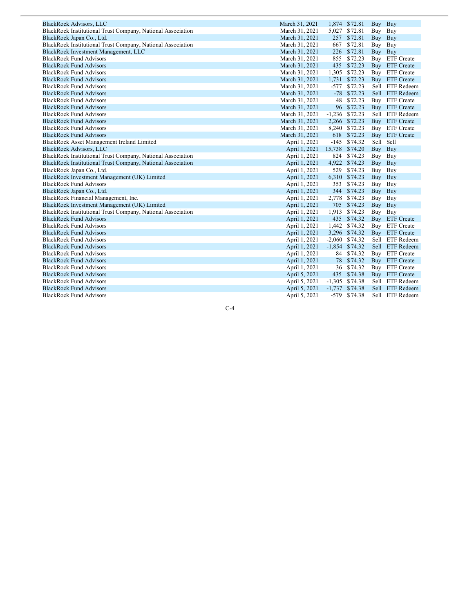| <b>BlackRock Advisors, LLC</b>                              | March 31, 2021 |       | 1,874 \$72.81    | Buy Buy   |                 |
|-------------------------------------------------------------|----------------|-------|------------------|-----------|-----------------|
| BlackRock Institutional Trust Company, National Association | March 31, 2021 | 5,027 | \$72.81          | Buy Buy   |                 |
| BlackRock Japan Co., Ltd.                                   | March 31, 2021 |       | 257 \$72.81      | Buy Buy   |                 |
| BlackRock Institutional Trust Company, National Association | March 31, 2021 | 667   | \$72.81          | Buy Buy   |                 |
| BlackRock Investment Management, LLC                        | March 31, 2021 |       | 226 \$72.81      | Buy Buy   |                 |
| <b>BlackRock Fund Advisors</b>                              | March 31, 2021 | 855   | \$72.23          |           | Buy ETF Create  |
| <b>BlackRock Fund Advisors</b>                              | March 31, 2021 |       | 435 \$72.23      |           | Buy ETF Create  |
| <b>BlackRock Fund Advisors</b>                              | March 31, 2021 |       | 1,305 \$72.23    |           | Buy ETF Create  |
| <b>BlackRock Fund Advisors</b>                              | March 31, 2021 |       | 1,731 \$72.23    |           | Buy ETF Create  |
| <b>BlackRock Fund Advisors</b>                              | March 31, 2021 |       | $-577$ \$72.23   |           | Sell ETF Redeem |
| <b>BlackRock Fund Advisors</b>                              | March 31, 2021 |       | $-78$ \$72.23    |           | Sell ETF Redeem |
| <b>BlackRock Fund Advisors</b>                              | March 31, 2021 | 48    | \$72.23          |           | Buy ETF Create  |
| <b>BlackRock Fund Advisors</b>                              | March 31, 2021 |       | 96 \$72.23       |           | Buy ETF Create  |
| <b>BlackRock Fund Advisors</b>                              | March 31, 2021 |       | $-1,236$ \$72.23 |           | Sell ETF Redeem |
| <b>BlackRock Fund Advisors</b>                              | March 31, 2021 |       | 2,266 \$72.23    |           | Buy ETF Create  |
| <b>BlackRock Fund Advisors</b>                              | March 31, 2021 |       | 8,240 \$72.23    |           | Buy ETF Create  |
| <b>BlackRock Fund Advisors</b>                              | March 31, 2021 |       | 618 \$72.23      |           | Buy ETF Create  |
| BlackRock Asset Management Ireland Limited                  | April 1, 2021  |       | $-145$ \$74.32   | Sell Sell |                 |
| <b>BlackRock Advisors, LLC</b>                              | April 1, 2021  |       | 15,738 \$74.20   | Buy Buy   |                 |
| BlackRock Institutional Trust Company, National Association | April 1, 2021  | 824   | \$74.23          | Buy Buy   |                 |
| BlackRock Institutional Trust Company, National Association | April 1, 2021  |       | 4,922 \$74.23    | Buy Buy   |                 |
| BlackRock Japan Co., Ltd.                                   | April 1, 2021  |       | 529 \$74.23      | Buy Buy   |                 |
| BlackRock Investment Management (UK) Limited                | April 1, 2021  |       | 6,310 \$74.23    | Buy Buy   |                 |
| <b>BlackRock Fund Advisors</b>                              | April 1, 2021  |       | 353 \$74.23      | Buy Buy   |                 |
| BlackRock Japan Co., Ltd.                                   | April 1, 2021  |       | 344 \$74.23      | Buy Buy   |                 |
| BlackRock Financial Management, Inc.                        | April 1, 2021  |       | 2,778 \$74.23    | Buy Buy   |                 |
| BlackRock Investment Management (UK) Limited                | April 1, 2021  |       | 705 \$74.23      | Buy Buy   |                 |
| BlackRock Institutional Trust Company, National Association | April 1, 2021  | 1,913 | \$74.23          | Buy Buy   |                 |
| <b>BlackRock Fund Advisors</b>                              | April 1, 2021  |       | 435 \$74.32      |           | Buy ETF Create  |
| <b>BlackRock Fund Advisors</b>                              | April 1, 2021  |       | 1,442 \$74.32    |           | Buy ETF Create  |
| <b>BlackRock Fund Advisors</b>                              | April 1, 2021  |       | 3,296 \$74.32    |           | Buy ETF Create  |
| <b>BlackRock Fund Advisors</b>                              | April 1, 2021  |       | $-2,060$ \$74.32 |           | Sell ETF Redeem |
| <b>BlackRock Fund Advisors</b>                              | April 1, 2021  |       | $-1,854$ \$74.32 |           | Sell ETF Redeem |
| <b>BlackRock Fund Advisors</b>                              | April 1, 2021  | 84    | \$74.32          |           | Buy ETF Create  |
| <b>BlackRock Fund Advisors</b>                              | April 1, 2021  | 78    | \$74.32          |           | Buy ETF Create  |
| <b>BlackRock Fund Advisors</b>                              | April 1, 2021  |       | 36 \$74.32       |           | Buy ETF Create  |
| <b>BlackRock Fund Advisors</b>                              | April 5, 2021  |       | 435 \$74.38      |           | Buy ETF Create  |
| <b>BlackRock Fund Advisors</b>                              | April 5, 2021  |       | $-1,305$ \$74.38 |           | Sell ETF Redeem |
| <b>BlackRock Fund Advisors</b>                              | April 5, 2021  |       | $-1,737$ \$74.38 |           | Sell ETF Redeem |
| <b>BlackRock Fund Advisors</b>                              | April 5, 2021  |       | $-579$ \$74.38   |           | Sell ETF Redeem |
|                                                             |                |       |                  |           |                 |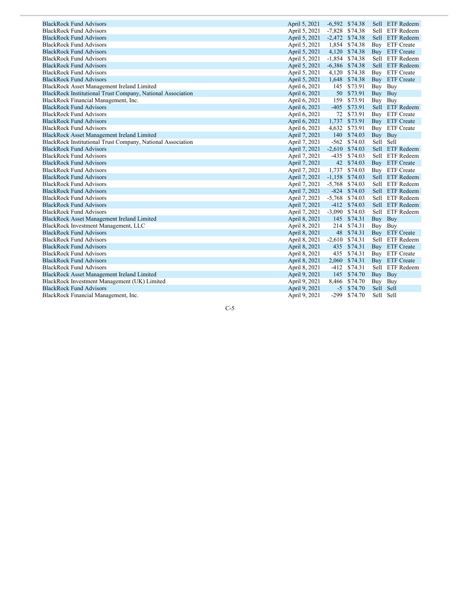| <b>BlackRock Fund Advisors</b>                              | April 5, 2021 |          | $-6,592$ \$74.38 |           | Sell ETF Redeem |
|-------------------------------------------------------------|---------------|----------|------------------|-----------|-----------------|
| <b>BlackRock Fund Advisors</b>                              | April 5, 2021 |          | $-7,828$ \$74.38 |           | Sell ETF Redeem |
| <b>BlackRock Fund Advisors</b>                              | April 5, 2021 |          | $-2,472$ \$74.38 |           | Sell ETF Redeem |
| <b>BlackRock Fund Advisors</b>                              | April 5, 2021 |          | 1,854 \$74.38    |           | Buy ETF Create  |
| <b>BlackRock Fund Advisors</b>                              | April 5, 2021 |          | 4,120 \$74.38    |           | Buy ETF Create  |
| <b>BlackRock Fund Advisors</b>                              | April 5, 2021 |          | $-1,854$ \$74.38 |           | Sell ETF Redeem |
| <b>BlackRock Fund Advisors</b>                              | April 5, 2021 |          | $-6,386$ \$74.38 |           | Sell ETF Redeem |
| <b>BlackRock Fund Advisors</b>                              | April 5, 2021 |          | 4,120 \$74.38    |           | Buy ETF Create  |
| <b>BlackRock Fund Advisors</b>                              | April 5, 2021 |          | 1,648 \$74.38    |           | Buy ETF Create  |
| BlackRock Asset Management Ireland Limited                  | April 6, 2021 | 145      | \$73.91          | Buy Buy   |                 |
| BlackRock Institutional Trust Company, National Association | April 6, 2021 |          | 50 \$73.91       | Buy Buy   |                 |
| BlackRock Financial Management, Inc.                        | April 6, 2021 | 159      | \$73.91          | Buy Buy   |                 |
| <b>BlackRock Fund Advisors</b>                              | April 6, 2021 |          | $-405$ \$73.91   |           | Sell ETF Redeem |
| <b>BlackRock Fund Advisors</b>                              | April 6, 2021 |          | 72 \$73.91       |           | Buy ETF Create  |
| <b>BlackRock Fund Advisors</b>                              | April 6, 2021 |          | 1,737 \$73.91    |           | Buy ETF Create  |
| <b>BlackRock Fund Advisors</b>                              | April 6, 2021 |          | 4,632 \$73.91    |           | Buy ETF Create  |
| BlackRock Asset Management Ireland Limited                  | April 7, 2021 |          | 140 \$74.03      | Buy Buy   |                 |
| BlackRock Institutional Trust Company, National Association | April 7, 2021 |          | $-562$ \$74.03   | Sell Sell |                 |
| <b>BlackRock Fund Advisors</b>                              | April 7, 2021 |          | $-2,610$ \$74.03 |           | Sell ETF Redeem |
| <b>BlackRock Fund Advisors</b>                              | April 7, 2021 | $-435$   | \$74.03          |           | Sell ETF Redeem |
| <b>BlackRock Fund Advisors</b>                              | April 7, 2021 |          | 42 \$74.03       |           | Buy ETF Create  |
| <b>BlackRock Fund Advisors</b>                              | April 7, 2021 |          | 1,737 \$74.03    |           | Buy ETF Create  |
| <b>BlackRock Fund Advisors</b>                              | April 7, 2021 |          | $-1,158$ \$74.03 |           | Sell ETF Redeem |
| <b>BlackRock Fund Advisors</b>                              | April 7, 2021 |          | $-5,768$ \$74.03 |           | Sell ETF Redeem |
| <b>BlackRock Fund Advisors</b>                              | April 7, 2021 |          | $-824$ \$74.03   |           | Sell ETF Redeem |
| <b>BlackRock Fund Advisors</b>                              | April 7, 2021 | $-5,768$ | \$74.03          |           | Sell ETF Redeem |
| <b>BlackRock Fund Advisors</b>                              | April 7, 2021 | $-412$   | \$74.03          |           | Sell ETF Redeem |
| <b>BlackRock Fund Advisors</b>                              | April 7, 2021 |          | $-3,090$ \$74.03 |           | Sell ETF Redeem |
| BlackRock Asset Management Ireland Limited                  | April 8, 2021 |          | 145 \$74.31      | Buy Buy   |                 |
| BlackRock Investment Management, LLC                        | April 8, 2021 |          | 214 \$74.31      | Buy Buy   |                 |
| <b>BlackRock Fund Advisors</b>                              | April 8, 2021 |          | 48 \$74.31       |           | Buy ETF Create  |
| <b>BlackRock Fund Advisors</b>                              | April 8, 2021 |          | $-2,610$ \$74.31 |           | Sell ETF Redeem |
| <b>BlackRock Fund Advisors</b>                              | April 8, 2021 | 435      | \$74.31          |           | Buy ETF Create  |
| <b>BlackRock Fund Advisors</b>                              | April 8, 2021 | 435      | \$74.31          |           | Buy ETF Create  |
| <b>BlackRock Fund Advisors</b>                              | April 8, 2021 |          | 2,060 \$74.31    |           | Buy ETF Create  |
| <b>BlackRock Fund Advisors</b>                              | April 8, 2021 |          | $-412$ \$74.31   |           | Sell ETF Redeem |
| BlackRock Asset Management Ireland Limited                  | April 9, 2021 |          | 145 \$74.70      | Buy Buy   |                 |
| BlackRock Investment Management (UK) Limited                | April 9, 2021 |          | 8,466 \$74.70    | Buy Buy   |                 |
| <b>BlackRock Fund Advisors</b>                              | April 9, 2021 |          | $-5$ \$74.70     | Sell Sell |                 |
| BlackRock Financial Management, Inc.                        | April 9, 2021 |          | $-299$ \$74.70   | Sell Sell |                 |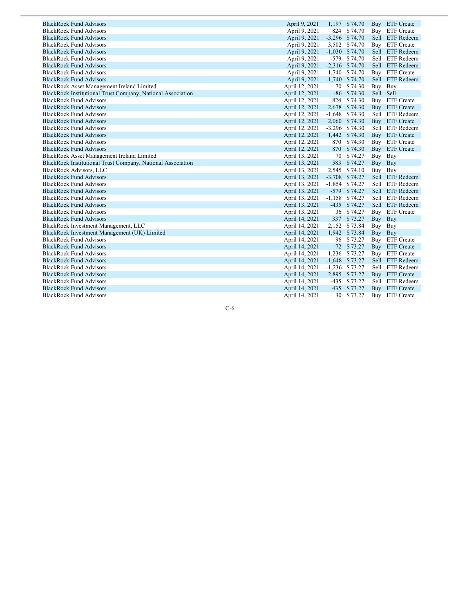| <b>BlackRock Fund Advisors</b>                              | April 9, 2021  |          | 1,197 \$74.70    |           | Buy ETF Create  |
|-------------------------------------------------------------|----------------|----------|------------------|-----------|-----------------|
| <b>BlackRock Fund Advisors</b>                              | April 9, 2021  | 824      | \$74.70          |           | Buy ETF Create  |
| <b>BlackRock Fund Advisors</b>                              | April 9, 2021  |          | $-3,296$ \$74.70 |           | Sell ETF Redeem |
| <b>BlackRock Fund Advisors</b>                              | April 9, 2021  | 3,502    | \$74.70          |           | Buy ETF Create  |
| <b>BlackRock Fund Advisors</b>                              | April 9, 2021  | $-1,030$ | \$74.70          |           | Sell ETF Redeem |
| <b>BlackRock Fund Advisors</b>                              | April 9, 2021  | $-579$   | \$74.70          |           | Sell ETF Redeem |
| <b>BlackRock Fund Advisors</b>                              | April 9, 2021  |          | $-2,316$ \$74.70 |           | Sell ETF Redeem |
| <b>BlackRock Fund Advisors</b>                              | April 9, 2021  | 1,740    | \$74.70          |           | Buy ETF Create  |
| <b>BlackRock Fund Advisors</b>                              | April 9, 2021  | $-1,740$ | \$74.70          |           | Sell ETF Redeem |
| BlackRock Asset Management Ireland Limited                  | April 12, 2021 | 70       | \$74.30          | Buy Buy   |                 |
| BlackRock Institutional Trust Company, National Association | April 12, 2021 |          | $-86$ \$74.30    | Sell Sell |                 |
| <b>BlackRock Fund Advisors</b>                              | April 12, 2021 | 824      | \$74.30          |           | Buy ETF Create  |
| <b>BlackRock Fund Advisors</b>                              | April 12, 2021 | 2,678    | \$74.30          |           | Buy ETF Create  |
| <b>BlackRock Fund Advisors</b>                              | April 12, 2021 | $-1,648$ | \$74.30          |           | Sell ETF Redeem |
| <b>BlackRock Fund Advisors</b>                              | April 12, 2021 |          | 2,060 \$74.30    |           | Buy ETF Create  |
| <b>BlackRock Fund Advisors</b>                              | April 12, 2021 | $-3,296$ | \$74.30          |           | Sell ETF Redeem |
| <b>BlackRock Fund Advisors</b>                              | April 12, 2021 | 1,442    | \$74.30          |           | Buy ETF Create  |
| <b>BlackRock Fund Advisors</b>                              | April 12, 2021 | 870      | \$74.30          |           | Buy ETF Create  |
| <b>BlackRock Fund Advisors</b>                              | April 12, 2021 | 870      | \$74.30          |           | Buy ETF Create  |
| BlackRock Asset Management Ireland Limited                  | April 13, 2021 | 70       | \$74.27          | Buy Buy   |                 |
| BlackRock Institutional Trust Company, National Association | April 13, 2021 | 583      | \$74.27          | Buy Buy   |                 |
| <b>BlackRock Advisors, LLC</b>                              | April 13, 2021 |          | 2,545 \$74.10    | Buy Buy   |                 |
| <b>BlackRock Fund Advisors</b>                              | April 13, 2021 |          | $-3,708$ \$74.27 |           | Sell ETF Redeem |
| <b>BlackRock Fund Advisors</b>                              | April 13, 2021 |          | $-1,854$ \$74.27 |           | Sell ETF Redeem |
| <b>BlackRock Fund Advisors</b>                              | April 13, 2021 |          | $-579$ \$74.27   |           | Sell ETF Redeem |
| <b>BlackRock Fund Advisors</b>                              | April 13, 2021 | $-1,158$ | \$74.27          |           | Sell ETF Redeem |
| <b>BlackRock Fund Advisors</b>                              | April 13, 2021 | $-435$   | \$74.27          |           | Sell ETF Redeem |
| <b>BlackRock Fund Advisors</b>                              | April 13, 2021 |          | 36 \$74.27       |           | Buy ETF Create  |
| <b>BlackRock Fund Advisors</b>                              | April 14, 2021 |          | 337 \$73.27      | Buy       | Buy             |
| BlackRock Investment Management, LLC                        | April 14, 2021 |          | 2,152 \$73.84    | Buy Buy   |                 |
| BlackRock Investment Management (UK) Limited                | April 14, 2021 | 1,942    | \$73.84          | Buy       | Buy             |
| <b>BlackRock Fund Advisors</b>                              | April 14, 2021 |          | 96 \$73.27       |           | Buy ETF Create  |
| <b>BlackRock Fund Advisors</b>                              | April 14, 2021 |          | 72 \$73.27       |           | Buy ETF Create  |
| <b>BlackRock Fund Advisors</b>                              | April 14, 2021 |          | 1,236 \$73.27    |           | Buy ETF Create  |
| <b>BlackRock Fund Advisors</b>                              | April 14, 2021 |          | $-1,648$ \$73.27 |           | Sell ETF Redeem |
| <b>BlackRock Fund Advisors</b>                              | April 14, 2021 |          | $-1,236$ \$73.27 |           | Sell ETF Redeem |
| <b>BlackRock Fund Advisors</b>                              | April 14, 2021 |          | 2,895 \$73.27    |           | Buy ETF Create  |
| <b>BlackRock Fund Advisors</b>                              | April 14, 2021 |          | $-435$ \$73.27   |           | Sell ETF Redeem |
| <b>BlackRock Fund Advisors</b>                              | April 14, 2021 |          | 435 \$73.27      |           | Buy ETF Create  |
| <b>BlackRock Fund Advisors</b>                              | April 14, 2021 | 30       | \$73.27          |           | Buy ETF Create  |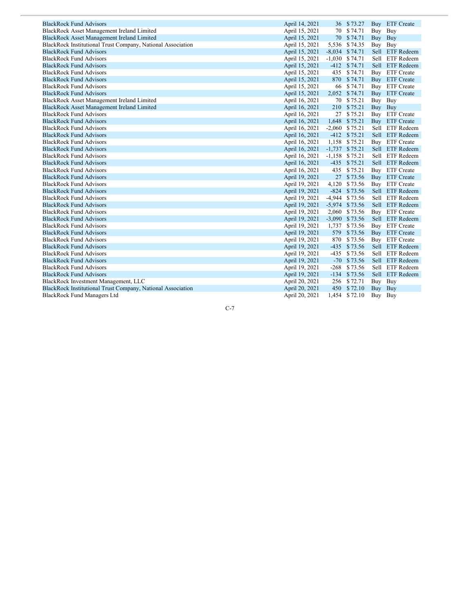| <b>BlackRock Fund Advisors</b>                              | April 14, 2021 |        | 36 \$73.27       |         | Buy ETF Create    |
|-------------------------------------------------------------|----------------|--------|------------------|---------|-------------------|
| BlackRock Asset Management Ireland Limited                  | April 15, 2021 |        | 70 \$74.71       | Buy Buy |                   |
| <b>BlackRock Asset Management Ireland Limited</b>           | April 15, 2021 |        | 70 \$74.71       | Buy     | Buy               |
| BlackRock Institutional Trust Company, National Association | April 15, 2021 |        | 5,536 \$74.35    | Buy Buy |                   |
| <b>BlackRock Fund Advisors</b>                              | April 15, 2021 |        | $-8,034$ \$74.71 |         | Sell ETF Redeem   |
| <b>BlackRock Fund Advisors</b>                              | April 15, 2021 |        | $-1,030$ \$74.71 |         | Sell ETF Redeem   |
| <b>BlackRock Fund Advisors</b>                              | April 15, 2021 |        | $-412$ \$74.71   |         | Sell ETF Redeem   |
| <b>BlackRock Fund Advisors</b>                              | April 15, 2021 |        | 435 \$74.71      | Buy     | <b>ETF</b> Create |
| <b>BlackRock Fund Advisors</b>                              | April 15, 2021 |        | 870 \$74.71      |         | Buy ETF Create    |
| <b>BlackRock Fund Advisors</b>                              | April 15, 2021 |        | 66 \$74.71       |         | Buy ETF Create    |
| <b>BlackRock Fund Advisors</b>                              | April 15, 2021 |        | 2,052 \$74.71    |         | Buy ETF Create    |
| BlackRock Asset Management Ireland Limited                  | April 16, 2021 |        | 70 \$75.21       | Buy Buy |                   |
| <b>BlackRock Asset Management Ireland Limited</b>           | April 16, 2021 |        | 210 \$75.21      | Buy Buy |                   |
| <b>BlackRock Fund Advisors</b>                              | April 16, 2021 |        | 27 \$75.21       |         | Buy ETF Create    |
| <b>BlackRock Fund Advisors</b>                              | April 16, 2021 |        | 1,648 \$75.21    |         | Buy ETF Create    |
| <b>BlackRock Fund Advisors</b>                              | April 16, 2021 |        | $-2,060$ \$75.21 |         | Sell ETF Redeem   |
| <b>BlackRock Fund Advisors</b>                              | April 16, 2021 |        | $-412$ \$75.21   |         | Sell ETF Redeem   |
| <b>BlackRock Fund Advisors</b>                              | April 16, 2021 |        | 1,158 \$75.21    |         | Buy ETF Create    |
| <b>BlackRock Fund Advisors</b>                              | April 16, 2021 |        | $-1,737$ \$75.21 |         | Sell ETF Redeem   |
| <b>BlackRock Fund Advisors</b>                              | April 16, 2021 |        | $-1,158$ \$75.21 |         | Sell ETF Redeem   |
| <b>BlackRock Fund Advisors</b>                              | April 16, 2021 |        | $-435$ \$75.21   |         | Sell ETF Redeem   |
| <b>BlackRock Fund Advisors</b>                              | April 16, 2021 |        | 435 \$75.21      | Buy     | <b>ETF</b> Create |
| <b>BlackRock Fund Advisors</b>                              | April 19, 2021 |        | 27 \$73.56       |         | Buy ETF Create    |
| <b>BlackRock Fund Advisors</b>                              | April 19, 2021 |        | 4,120 \$73.56    |         | Buy ETF Create    |
| <b>BlackRock Fund Advisors</b>                              | April 19, 2021 |        | $-824$ \$73.56   |         | Sell ETF Redeem   |
| <b>BlackRock Fund Advisors</b>                              | April 19, 2021 |        | $-4,944$ \$73.56 |         | Sell ETF Redeem   |
| <b>BlackRock Fund Advisors</b>                              | April 19, 2021 |        | $-5,974$ \$73.56 |         | Sell ETF Redeem   |
| <b>BlackRock Fund Advisors</b>                              | April 19, 2021 |        | 2,060 \$73.56    |         | Buy ETF Create    |
| <b>BlackRock Fund Advisors</b>                              | April 19, 2021 |        | $-3,090$ \$73.56 |         | Sell ETF Redeem   |
| <b>BlackRock Fund Advisors</b>                              | April 19, 2021 |        | 1,737 \$73.56    |         | Buy ETF Create    |
| <b>BlackRock Fund Advisors</b>                              | April 19, 2021 |        | 579 \$73.56      |         | Buy ETF Create    |
| <b>BlackRock Fund Advisors</b>                              | April 19, 2021 |        | 870 \$73.56      |         | Buy ETF Create    |
| <b>BlackRock Fund Advisors</b>                              | April 19, 2021 |        | -435 \$73.56     |         | Sell ETF Redeem   |
| <b>BlackRock Fund Advisors</b>                              | April 19, 2021 | $-435$ | \$73.56          |         | Sell ETF Redeem   |
| <b>BlackRock Fund Advisors</b>                              | April 19, 2021 |        | $-70$ \$73.56    |         | Sell ETF Redeem   |
| <b>BlackRock Fund Advisors</b>                              | April 19, 2021 |        | $-268$ \$73.56   |         | Sell ETF Redeem   |
| <b>BlackRock Fund Advisors</b>                              | April 19, 2021 |        | $-134$ \$73.56   |         | Sell ETF Redeem   |
| BlackRock Investment Management, LLC                        | April 20, 2021 |        | 256 \$72.71      | Buy     | Buy               |
| BlackRock Institutional Trust Company, National Association | April 20, 2021 |        | 450 \$72.10      | Buy Buy |                   |
| <b>BlackRock Fund Managers Ltd</b>                          | April 20, 2021 |        | 1,454 \$72.10    | Buy Buy |                   |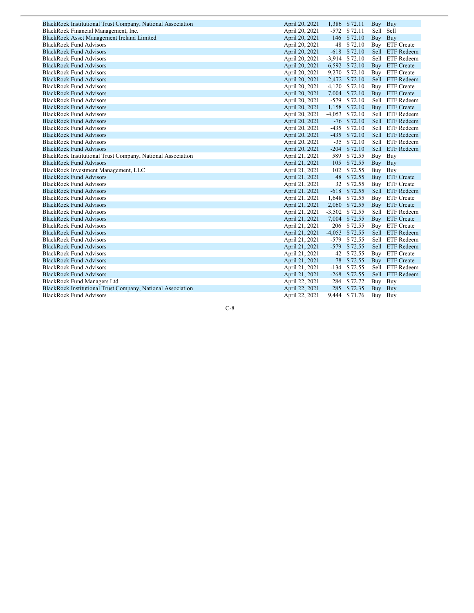| BlackRock Institutional Trust Company, National Association | April 20, 2021 |        | 1,386 \$72.11    | Buy Buy |                 |
|-------------------------------------------------------------|----------------|--------|------------------|---------|-----------------|
| BlackRock Financial Management, Inc.                        | April 20, 2021 |        | $-572$ \$72.11   | Sell    | Sell            |
| <b>BlackRock Asset Management Ireland Limited</b>           | April 20, 2021 |        | 146 \$72.10      | Buy     | Buy             |
| <b>BlackRock Fund Advisors</b>                              | April 20, 2021 |        | 48 \$72.10       |         | Buy ETF Create  |
| <b>BlackRock Fund Advisors</b>                              | April 20, 2021 |        | $-618$ \$72.10   |         | Sell ETF Redeem |
| <b>BlackRock Fund Advisors</b>                              | April 20, 2021 |        | $-3,914$ \$72.10 |         | Sell ETF Redeem |
| <b>BlackRock Fund Advisors</b>                              | April 20, 2021 |        | 6,592 \$72.10    |         | Buy ETF Create  |
| <b>BlackRock Fund Advisors</b>                              | April 20, 2021 |        | 9,270 \$72.10    |         | Buy ETF Create  |
| <b>BlackRock Fund Advisors</b>                              | April 20, 2021 |        | $-2,472$ \$72.10 |         | Sell ETF Redeem |
| <b>BlackRock Fund Advisors</b>                              | April 20, 2021 |        | 4,120 \$72.10    |         | Buy ETF Create  |
| <b>BlackRock Fund Advisors</b>                              | April 20, 2021 |        | 7,004 \$72.10    |         | Buy ETF Create  |
| <b>BlackRock Fund Advisors</b>                              | April 20, 2021 |        | $-579$ \$72.10   |         | Sell ETF Redeem |
| <b>BlackRock Fund Advisors</b>                              | April 20, 2021 |        | 1,158 \$72.10    |         | Buy ETF Create  |
| <b>BlackRock Fund Advisors</b>                              | April 20, 2021 |        | $-4,053$ \$72.10 |         | Sell ETF Redeem |
| <b>BlackRock Fund Advisors</b>                              | April 20, 2021 |        | $-76$ \$72.10    |         | Sell ETF Redeem |
| <b>BlackRock Fund Advisors</b>                              | April 20, 2021 |        | $-435$ \$72.10   |         | Sell ETF Redeem |
| <b>BlackRock Fund Advisors</b>                              | April 20, 2021 |        | $-435$ \$72.10   |         | Sell ETF Redeem |
| <b>BlackRock Fund Advisors</b>                              | April 20, 2021 |        | $-35$ \$72.10    |         | Sell ETF Redeem |
| <b>BlackRock Fund Advisors</b>                              | April 20, 2021 |        | $-204$ \$72.10   |         | Sell ETF Redeem |
| BlackRock Institutional Trust Company, National Association | April 21, 2021 |        | 589 \$72.55      | Buy Buy |                 |
| <b>BlackRock Fund Advisors</b>                              | April 21, 2021 |        | 105 \$72.55      | Buy Buy |                 |
| BlackRock Investment Management, LLC                        | April 21, 2021 |        | 102 \$72.55      | Buy Buy |                 |
| <b>BlackRock Fund Advisors</b>                              | April 21, 2021 | 48     | \$72.55          |         | Buy ETF Create  |
| <b>BlackRock Fund Advisors</b>                              | April 21, 2021 |        | 32 \$72.55       |         | Buy ETF Create  |
| <b>BlackRock Fund Advisors</b>                              | April 21, 2021 |        | $-618$ \$72.55   |         | Sell ETF Redeem |
| <b>BlackRock Fund Advisors</b>                              | April 21, 2021 |        | 1,648 \$72.55    |         | Buy ETF Create  |
| <b>BlackRock Fund Advisors</b>                              | April 21, 2021 |        | 2,060 \$72.55    |         | Buy ETF Create  |
| <b>BlackRock Fund Advisors</b>                              | April 21, 2021 |        | $-3,502$ \$72.55 |         | Sell ETF Redeem |
| <b>BlackRock Fund Advisors</b>                              | April 21, 2021 |        | 7,004 \$72.55    |         | Buy ETF Create  |
| <b>BlackRock Fund Advisors</b>                              | April 21, 2021 |        | 206 \$72.55      |         | Buy ETF Create  |
| <b>BlackRock Fund Advisors</b>                              | April 21, 2021 |        | $-4,053$ \$72.55 |         | Sell ETF Redeem |
| <b>BlackRock Fund Advisors</b>                              | April 21, 2021 | $-579$ | \$72.55          |         | Sell ETF Redeem |
| <b>BlackRock Fund Advisors</b>                              | April 21, 2021 | $-579$ | \$72.55          |         | Sell ETF Redeem |
| <b>BlackRock Fund Advisors</b>                              | April 21, 2021 | 42     | \$72.55          |         | Buy ETF Create  |
| <b>BlackRock Fund Advisors</b>                              | April 21, 2021 |        | 78 \$72.55       |         | Buy ETF Create  |
| <b>BlackRock Fund Advisors</b>                              | April 21, 2021 |        | $-134$ \$72.55   |         | Sell ETF Redeem |
| <b>BlackRock Fund Advisors</b>                              | April 21, 2021 |        | $-268$ \$72.55   |         | Sell ETF Redeem |
| <b>BlackRock Fund Managers Ltd</b>                          | April 22, 2021 |        | 284 \$72.72      | Buy     | Buy             |
| BlackRock Institutional Trust Company, National Association | April 22, 2021 |        | 285 \$72.35      | Buy Buy |                 |
| <b>BlackRock Fund Advisors</b>                              | April 22, 2021 |        | 9,444 \$71.76    | Buy Buy |                 |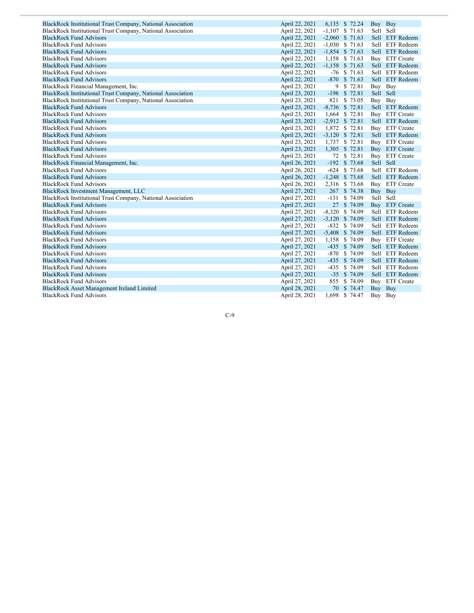| BlackRock Institutional Trust Company, National Association | April 22, 2021 | 6,135 \$ 72.24    |                | Buy Buy   |                 |
|-------------------------------------------------------------|----------------|-------------------|----------------|-----------|-----------------|
| BlackRock Institutional Trust Company, National Association | April 22, 2021 | $-1,107$ \$ 71.63 |                | Sell Sell |                 |
| <b>BlackRock Fund Advisors</b>                              | April 22, 2021 | $-2,060$ \$ 71.63 |                |           | Sell ETF Redeem |
| <b>BlackRock Fund Advisors</b>                              | April 22, 2021 | $-1,030$ \$ 71.63 |                |           | Sell ETF Redeem |
| <b>BlackRock Fund Advisors</b>                              | April 22, 2021 | $-1,854$ \$ 71.63 |                |           | Sell ETF Redeem |
| <b>BlackRock Fund Advisors</b>                              | April 22, 2021 | 1,158 \$ 71.63    |                |           | Buy ETF Create  |
| <b>BlackRock Fund Advisors</b>                              | April 22, 2021 | $-1,158$ \$ 71.63 |                |           | Sell ETF Redeem |
| <b>BlackRock Fund Advisors</b>                              | April 22, 2021 |                   | $-76$ \$ 71.63 |           | Sell ETF Redeem |
| <b>BlackRock Fund Advisors</b>                              | April 22, 2021 | $-870$            | \$71.63        |           | Sell ETF Redeem |
| BlackRock Financial Management, Inc.                        | April 23, 2021 | 9                 | \$72.81        | Buy       | Buy             |
| BlackRock Institutional Trust Company, National Association | April 23, 2021 | $-198$            | \$72.81        | Sell Sell |                 |
| BlackRock Institutional Trust Company, National Association | April 23, 2021 | 821               | \$73.05        | Buy Buy   |                 |
| <b>BlackRock Fund Advisors</b>                              | April 23, 2021 | $-8,736$ \$ 72.81 |                |           | Sell ETF Redeem |
| <b>BlackRock Fund Advisors</b>                              | April 23, 2021 | 1,664 \$72.81     |                |           | Buy ETF Create  |
| <b>BlackRock Fund Advisors</b>                              | April 23, 2021 | $-2,912$ \$ 72.81 |                |           | Sell ETF Redeem |
| <b>BlackRock Fund Advisors</b>                              | April 23, 2021 | 1,872 \$ 72.81    |                |           | Buy ETF Create  |
| <b>BlackRock Fund Advisors</b>                              | April 23, 2021 | $-3,120$ \$ 72.81 |                |           | Sell ETF Redeem |
| <b>BlackRock Fund Advisors</b>                              | April 23, 2021 | 1,737 \$ 72.81    |                |           | Buy ETF Create  |
| <b>BlackRock Fund Advisors</b>                              | April 23, 2021 | 1,305 \$ 72.81    |                |           | Buy ETF Create  |
| <b>BlackRock Fund Advisors</b>                              | April 23, 2021 |                   | 72 \$ 72.81    |           | Buy ETF Create  |
| BlackRock Financial Management, Inc.                        | April 26, 2021 | $-192$ \$ 73.68   |                | Sell Sell |                 |
| <b>BlackRock Fund Advisors</b>                              | April 26, 2021 | $-624$ \$ 73.68   |                |           | Sell ETF Redeem |
| <b>BlackRock Fund Advisors</b>                              | April 26, 2021 | $-1,248$ \$ 73.68 |                |           | Sell ETF Redeem |
| <b>BlackRock Fund Advisors</b>                              | April 26, 2021 | 2,316 \$73.68     |                |           | Buy ETF Create  |
| BlackRock Investment Management, LLC                        | April 27, 2021 | 267               | \$74.38        | Buy Buy   |                 |
| BlackRock Institutional Trust Company, National Association | April 27, 2021 | $-131$            | \$74.09        | Sell Sell |                 |
| <b>BlackRock Fund Advisors</b>                              | April 27, 2021 |                   | 27 \$ 74.09    |           | Buy ETF Create  |
| <b>BlackRock Fund Advisors</b>                              | April 27, 2021 | $-8,320$ \$ 74.09 |                |           | Sell ETF Redeem |
| <b>BlackRock Fund Advisors</b>                              | April 27, 2021 | $-3,120$ \$ 74.09 |                |           | Sell ETF Redeem |
| <b>BlackRock Fund Advisors</b>                              | April 27, 2021 | $-832$ \$ 74.09   |                |           | Sell ETF Redeem |
| <b>BlackRock Fund Advisors</b>                              | April 27, 2021 | $-5,408$ \$ 74.09 |                |           | Sell ETF Redeem |
| <b>BlackRock Fund Advisors</b>                              | April 27, 2021 | 1,158             | \$74.09        |           | Buy ETF Create  |
| <b>BlackRock Fund Advisors</b>                              | April 27, 2021 | $-435$            | \$74.09        |           | Sell ETF Redeem |
| <b>BlackRock Fund Advisors</b>                              | April 27, 2021 | $-870$            | \$74.09        |           | Sell ETF Redeem |
| <b>BlackRock Fund Advisors</b>                              | April 27, 2021 | $-435$            | \$74.09        |           | Sell ETF Redeem |
| <b>BlackRock Fund Advisors</b>                              | April 27, 2021 | $-435$            | \$74.09        |           | Sell ETF Redeem |
| <b>BlackRock Fund Advisors</b>                              | April 27, 2021 |                   | $-35$ \$ 74.09 |           | Sell ETF Redeem |
| <b>BlackRock Fund Advisors</b>                              | April 27, 2021 | 855               | \$74.09        |           | Buy ETF Create  |
| <b>BlackRock Asset Management Ireland Limited</b>           | April 28, 2021 |                   | 70 \$ 74.47    | Buy Buy   |                 |
| <b>BlackRock Fund Advisors</b>                              | April 28, 2021 | 1,698 \$ 74.47    |                | Buy Buy   |                 |